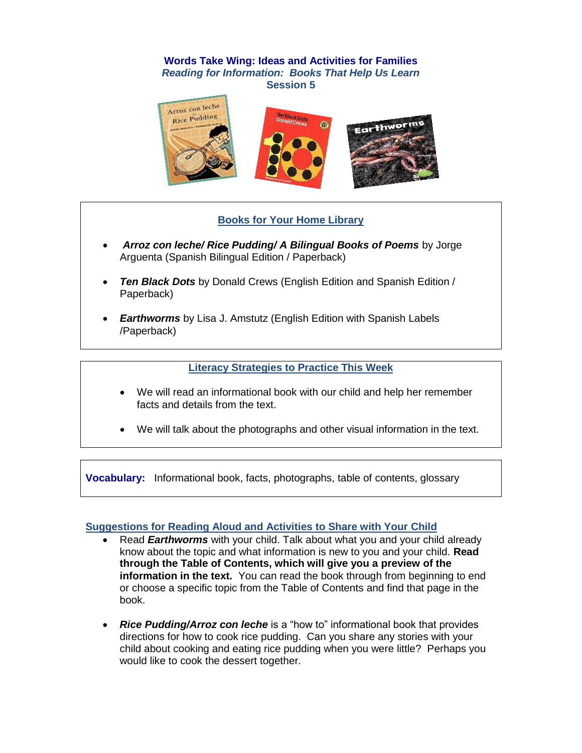### **Words Take Wing: Ideas and Activities for Families** *Reading for Information: Books That Help Us Learn*  **Session 5**



# **Books for Your Home Library**

- *Arroz con leche/ Rice Pudding/ A Bilingual Books of Poems* by Jorge Arguenta (Spanish Bilingual Edition / Paperback)
- *Ten Black Dots* by Donald Crews (English Edition and Spanish Edition / Paperback)
- *Earthworms* by Lisa J. Amstutz (English Edition with Spanish Labels /Paperback)

### **Literacy Strategies to Practice This Week**

- We will read an informational book with our child and help her remember facts and details from the text.
- We will talk about the photographs and other visual information in the text.

**Vocabulary:** Informational book, facts, photographs, table of contents, glossary

#### **Suggestions for Reading Aloud and Activities to Share with Your Child**

- Read *Earthworms* with your child. Talk about what you and your child already know about the topic and what information is new to you and your child. **Read through the Table of Contents, which will give you a preview of the information in the text.** You can read the book through from beginning to end or choose a specific topic from the Table of Contents and find that page in the book.
- *Rice Pudding/Arroz con leche* is a "how to" informational book that provides directions for how to cook rice pudding. Can you share any stories with your child about cooking and eating rice pudding when you were little? Perhaps you would like to cook the dessert together.